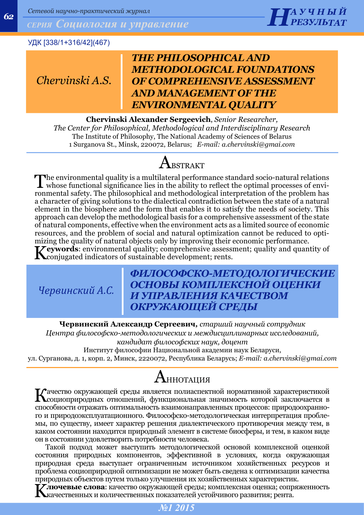*Сетевой научно-практический журнал*<br>*СЕРИЯ СОЦИОЛОГИЯ И УПРАВЛЕНИЕ* 



## УДК [338/1+316/42](467)

*Chervinski A.S.*

# *THE PHILOSOPHICAL AND METHODOLOGICAL FOUNDATIONS OF COMPREHENSIVE ASSESSMENT AND MANAGEMENT OF THE ENVIRONMENTAL QUALITY*

**Chervinski Alexander Sergeevich**, *Senior Researcher, The Center for Philosophical, Methodological and Interdisciplinary Research* The Institute of Philosophy, The National Academy of Sciences of Belarus 1 Surganova St., Minsk, 220072, Belarus; *E-mail: a.chervinski@gmai.com*

# $A_{BSTRACT}$

The environmental quality is a multilateral performance standard socio-natural relations<br>whose functional significance lies in the ability to reflect the optimal processes of envi-<br>whose the ability of the multiple is also ronmental safety. The philosophical and methodological interpretation of the problem has a character of giving solutions to the dialectical contradiction between the state of a natural element in the biosphere and the form that enables it to satisfy the needs of society. This approach can develop the methodological basis for a comprehensive assessment of the state of natural components, effective when the environment acts as a limited source of economic resources, and the problem of social and natural optimization cannot be reduced to optimizing the quality of natural objects only by improving their economic performance. **Zeywords:** environmental quality; comprehensive assessment; quality and quantity of **K**conjugated indicators of sustainable development; rents.

*Червинский А.С.*

## *ФИЛОСОФСКО-МЕТОДОЛОГИЧЕСКИЕ ОСНОВЫ КОМПЛЕКСНОЙ ОЦЕНКИ И УПРАВЛЕНИЯ КАЧЕСТВОМ ОКРУЖАЮЩЕЙ СРЕДЫ*

**Червинский Александр Сергеевич***, старший научный сотрудник* 

*Центра философско-методологических и междисциплинарных исследований, кандидат философских наук, доцент*

Институт философии Национальной академии наук Беларуси,

ул. Сурганова, д. 1, корп. 2, Минск, 2220072, Республика Беларусь; *E-mail: a.chervinski@gmai.com*

# АННОТАЦИЯ

Качество окружающей среды является полиаспектной нормативной характеристикой социоприродных отношений, функциональная значимость которой заключается в способности отражать оптимальность взаимонаправленных процессов: природоохранного и природоэксплуатационного. Философско-методологическая интерпретация проблемы, по существу, имеет характер решения диалектического противоречия между тем, в каком состоянии находится природный элемент в системе биосферы, и тем, в каком виде он в состоянии удовлетворить потребности человека.

Такой подход может выступить методологической основой комплексной оценкой состояния природных компонентов, эффективной в условиях, когда окружающая природная среда выступает ограниченным источником хозяйственных ресурсов и проблема социоприродной оптимизации не может быть сведена к оптимизации качества природных объектов путем только улучшения их хозяйственных характеристик.

**Г.<br>Ключевые слова**: качество окружающей среды; комплексная оценка; сопряженность качественных и количественных показателей устойчивого развития; рента.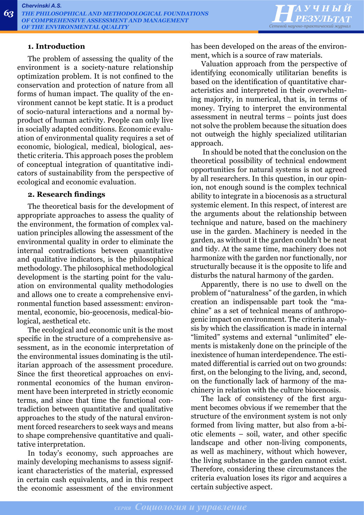

#### **1. Introduction**

The problem of assessing the quality of the environment is a society-nature relationship optimization problem. It is not confined to the conservation and protection of nature from all forms of human impact. The quality of the environment cannot be kept static. It is a product of socio-natural interactions and a normal byproduct of human activity. People can only live in socially adapted conditions. Economic evaluation of environmental quality requires a set of economic, biological, medical, biological, aesthetic criteria. This approach poses the problem of conceptual integration of quantitative indicators of sustainability from the perspective of ecological and economic evaluation.

#### **2. Research findings**

The theoretical basis for the development of appropriate approaches to assess the quality of the environment, the formation of complex valuation principles allowing the assessment of the environmental quality in order to eliminate the internal contradictions between quantitative and qualitative indicators, is the philosophical methodology. The philosophical methodological development is the starting point for the valuation on environmental quality methodologies and allows one to create a comprehensive environmental function based assessment: environmental, economic, bio-geocenosis, medical-biological, aesthetical etc.

The ecological and economic unit is the most specific in the structure of a comprehensive assessment, as in the economic interpretation of the environmental issues dominating is the utilitarian approach of the assessment procedure. Since the first theoretical approaches on environmental economics of the human environment have been interpreted in strictly economic terms, and since that time the functional contradiction between quantitative and qualitative approaches to the study of the natural environment forced researchers to seek ways and means to shape comprehensive quantitative and qualitative interpretation.

In today's economy, such approaches are mainly developing mechanisms to assess significant characteristics of the material, expressed in certain cash equivalents, and in this respect the economic assessment of the environment has been developed on the areas of the environment, which is a source of raw materials.

Valuation approach from the perspective of identifying economically utilitarian benefits is based on the identification of quantitative characteristics and interpreted in their overwhelming majority, in numerical, that is, in terms of money. Trying to interpret the environmental assessment in neutral terms - points just does not solve the problem because the situation does not outweigh the highly specialized utilitarian approach.

 In should be noted that the conclusion on the theoretical possibility of technical endowment opportunities for natural systems is not agreed by all researchers. In this question, in our opinion, not enough sound is the complex technical ability to integrate in a biocenosis as a structural systemic element. In this respect, of interest are the arguments about the relationship between technique and nature, based on the machinery use in the garden. Machinery is needed in the garden, as without it the garden couldn't be neat and tidy. At the same time, machinery does not harmonize with the garden nor functionally, nor structurally because it is the opposite to life and disturbs the natural harmony of the garden.

Apparently, there is no use to dwell on the problem of "naturalness" of the garden, in which creation an indispensable part took the "machine" as a set of technical means of anthropogenic impact on environment. The criteria analysis by which the classification is made in internal "limited" systems and external "unlimited" elements is mistakenly done on the principle of the inexistence of human interdependence. The estimated differential is carried out on two grounds: first, on the belonging to the living, and, second, on the functionally lack of harmony of the machinery in relation with the culture biocenosis.

The lack of consistency of the first argument becomes obvious if we remember that the structure of the environment system is not only formed from living matter, but also from a-biotic elements – soil, water, and other specific landscape and other non-living components, as well as machinery, without which however, the living substance in the garden cannot exist. Therefore, considering these circumstances the criteria evaluation loses its rigor and acquires a certain subjective aspect.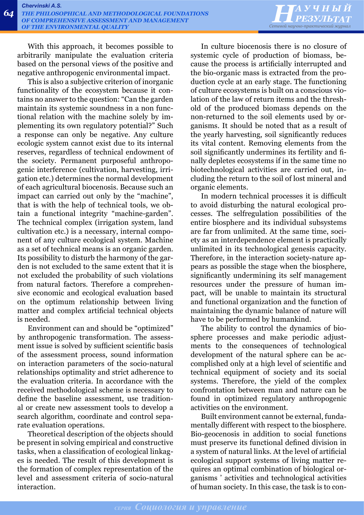

With this approach, it becomes possible to arbitrarily manipulate the evaluation criteria based on the personal views of the positive and negative anthropogenic environmental impact.

This is also a subjective criterion of inorganic functionality of the ecosystem because it contains no answer to the question: "Can the garden maintain its systemic soundness in a non functional relation with the machine solely by implementing its own regulatory potential?" Such a response can only be negative. Any culture ecologic system cannot exist due to its internal reserves, regardless of technical endowment of the society. Permanent purposeful anthropogenic interference (cultivation, harvesting, irrigation etc.) determines the normal development of each agricultural biocenosis. Because such an impact can carried out only by the "machine", that is with the help of technical tools, we obtain a functional integrity "machine-garden". The technical complex (irrigation system, land cultivation etc.) is a necessary, internal component of any culture ecological system. Machine as a set of technical means is an organic garden. Its possibility to disturb the harmony of the garden is not excluded to the same extent that it is not excluded the probability of such violations from natural factors. Therefore a comprehensive economic and ecological evaluation based on the optimum relationship between living matter and complex artificial technical objects is needed.

Environment can and should be "optimized" by anthropogenic transformation. The assessment issue is solved by sufficient scientific basis of the assessment process, sound information on interaction parameters of the socio-natural relationships optimality and strict adherence to the evaluation criteria. In accordance with the received methodological scheme is necessary to define the baseline assessment, use traditional or create new assessment tools to develop a search algorithm, coordinate and control separate evaluation operations.

Theoretical description of the objects should be present in solving empirical and constructive tasks, when a classification of ecological linkages is needed. The result of this development is the formation of complex representation of the level and assessment criteria of socio-natural interaction.

In culture biocenosis there is no closure of systemic cycle of production of biomass, because the process is artificially interrupted and the bio-organic mass is extracted from the production cycle at an early stage. The functioning of culture ecosystems is built on a conscious violation of the law of return items and the threshold of the produced biomass depends on the non-returned to the soil elements used by organisms. It should be noted that as a result of the yearly harvesting, soil significantly reduces its vital content. Removing elements from the soil significantly undermines its fertility and finally depletes ecosystems if in the same time no biotechnological activities are carried out, including the return to the soil of lost mineral and organic elements.

In modern technical processes it is difficult to avoid disturbing the natural ecological processes. The selfregulation possibilities of the entire biosphere and its individual subsystems are far from unlimited. At the same time, society as an interdependence element is practically unlimited in its technological genesis capacity. Therefore, in the interaction society-nature appears as possible the stage when the biosphere, significantly undermining its self management resources under the pressure of human impact, will be unable to maintain its structural and functional organization and the function of maintaining the dynamic balance of nature will have to be performed by humankind.

The ability to control the dynamics of biosphere processes and make periodic adjustments to the consequences of technological development of the natural sphere can be accomplished only at a high level of scientific and technical equipment of society and its social systems. Therefore, the yield of the complex confrontation between man and nature can be found in optimized regulatory anthropogenic activities on the environment.

Built environment cannot be external, fundamentally different with respect to the biosphere. Bio-geocenosis in addition to social functions must preserve its functional defined division in a system of natural links. At the level of artificial ecological support systems of living matter requires an optimal combination of biological organisms ' activities and technological activities of human society. In this case, the task is to con-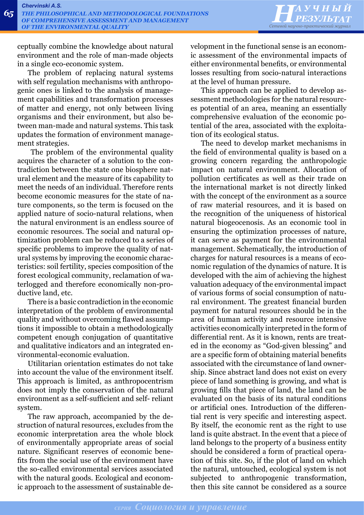*НАУЧНЫЙ Сетевой научно-практический журнал*

ceptually combine the knowledge about natural environment and the role of man-made objects in a single eco-economic system.

The problem of replacing natural systems with self regulation mechanisms with anthropogenic ones is linked to the analysis of management capabilities and transformation processes of matter and energy, not only between living organisms and their environment, but also between man-made and natural systems. This task updates the formation of environment management strategies.

 The problem of the environmental quality acquires the character of a solution to the contradiction between the state one biosphere natural element and the measure of its capability to meet the needs of an individual. Therefore rents become economic measures for the state of nature components, so the term is focused on the applied nature of socio-natural relations, when the natural environment is an endless source of economic resources. The social and natural optimization problem can be reduced to a series of specific problems to improve the quality of natural systems by improving the economic characteristics: soil fertility, species composition of the forest ecological community, reclamation of waterlogged and therefore economically non-productive land, etc.

There is a basic contradiction in the economic interpretation of the problem of environmental quality and without overcoming flawed assumptions it impossible to obtain a methodologically competent enough conjugation of quantitative and qualitative indicators and an integrated environmental-economic evaluation.

Utilitarian orientation estimates do not take into account the value of the environment itself. This approach is limited, as anthropocentrism does not imply the conservation of the natural environment as a self-sufficient and self- reliant system.

The raw approach, accompanied by the destruction of natural resources, excludes from the economic interpretation area the whole block of environmentally appropriate areas of social nature. Significant reserves of economic benefits from the social use of the environment have the so-called environmental services associated with the natural goods. Ecological and economic approach to the assessment of sustainable development in the functional sense is an economic assessment of the environmental impacts of either environmental benefits, or environmental losses resulting from socio-natural interactions at the level of human pressure.

This approach can be applied to develop assessment methodologies for the natural resources potential of an area, meaning an essentially comprehensive evaluation of the economic potential of the area, associated with the exploitation of its ecological status.

The need to develop market mechanisms in the field of environmental quality is based on a growing concern regarding the anthropologic impact on natural environment. Allocation of pollution certificates as well as their trade on the international market is not directly linked with the concept of the environment as a source of raw material resources, and it is based on the recognition of the uniqueness of historical natural biogeocenosis. As an economic tool in ensuring the optimization processes of nature, it can serve as payment for the environmental management. Schematically, the introduction of charges for natural resources is a means of economic regulation of the dynamics of nature. It is developed with the aim of achieving the highest valuation adequacy of the environmental impact of various forms of social consumption of natural environment. The greatest financial burden payment for natural resources should be in the area of human activity and resource intensive activities economically interpreted in the form of differential rent. As it is known, rents are treated in the economy as "God-given blessing" and are a specific form of obtaining material benefits associated with the circumstance of land ownership. Since abstract land does not exist on every piece of land something is growing, and what is growing fills that piece of land, the land can be evaluated on the basis of its natural conditions or artificial ones. Introduction of the differential rent is very specific and interesting aspect. By itself, the economic rent as the right to use land is quite abstract. In the event that a piece of land belongs to the property of a business entity should be considered a form of practical operation of this site. So, if the plot of land on which the natural, untouched, ecological system is not subjected to anthropogenic transformation, then this site cannot be considered as a source